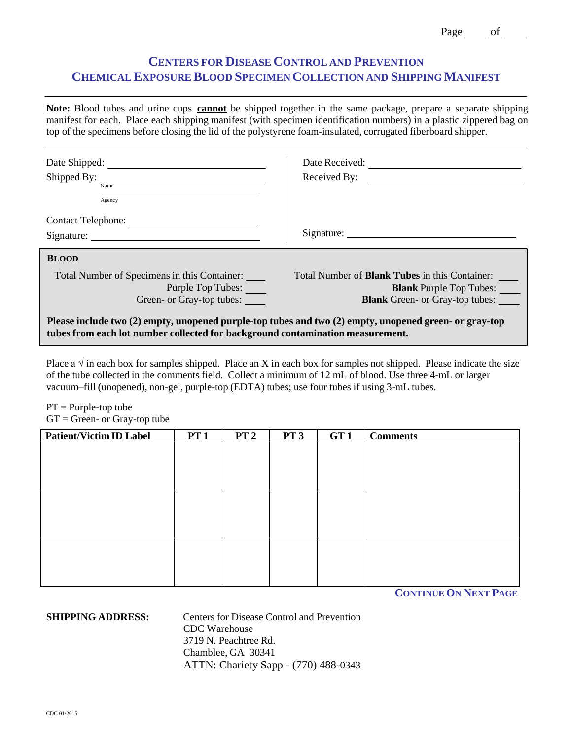## **CENTERS FOR DISEASE CONTROL AND PREVENTION CHEMICAL EXPOSURE BLOOD SPECIMEN COLLECTION AND SHIPPINGMANIFEST**

**Note:** Blood tubes and urine cups **cannot** be shipped together in the same package, prepare a separate shipping manifest for each. Place each shipping manifest (with specimen identification numbers) in a plastic zippered bag on top of the specimens before closing the lid of the polystyrene foam-insulated, corrugated fiberboard shipper.

| Date Shipped:<br>Shipped By:<br>Name<br>Agency                                                                                                                                           | Date Received:<br>Received By:                                                                                                    |  |  |  |  |
|------------------------------------------------------------------------------------------------------------------------------------------------------------------------------------------|-----------------------------------------------------------------------------------------------------------------------------------|--|--|--|--|
| Contact Telephone:                                                                                                                                                                       |                                                                                                                                   |  |  |  |  |
| <b>BLOOD</b>                                                                                                                                                                             |                                                                                                                                   |  |  |  |  |
| Total Number of Specimens in this Container:<br>Purple Top Tubes:<br>Green- or Gray-top tubes:                                                                                           | Total Number of <b>Blank Tubes</b> in this Container:<br><b>Blank</b> Purple Top Tubes:<br><b>Blank</b> Green- or Gray-top tubes: |  |  |  |  |
| Please include two (2) empty, unopened purple-top tubes and two (2) empty, unopened green- or gray-top<br>tubes from each lot number collected for background contamination measurement. |                                                                                                                                   |  |  |  |  |

Place a  $\sqrt{ }$  in each box for samples shipped. Place an X in each box for samples not shipped. Please indicate the size of the tube collected in the comments field. Collect a minimum of 12 mL of blood. Use three 4-mL or larger vacuum–fill (unopened), non-gel, purple-top (EDTA) tubes; use four tubes if using 3-mL tubes.

 $PT =$  Purple-top tube

 $GT = Green - or Gray-top tube$ 

| <b>Patient/Victim ID Label</b> | PT1 | PT <sub>2</sub> | PT <sub>3</sub> | GT <sub>1</sub> | <b>Comments</b> |
|--------------------------------|-----|-----------------|-----------------|-----------------|-----------------|
|                                |     |                 |                 |                 |                 |
|                                |     |                 |                 |                 |                 |
|                                |     |                 |                 |                 |                 |
|                                |     |                 |                 |                 |                 |
|                                |     |                 |                 |                 |                 |
|                                |     |                 |                 |                 |                 |
|                                |     |                 |                 |                 |                 |
|                                |     |                 |                 |                 |                 |
|                                |     |                 |                 |                 |                 |
|                                |     |                 |                 |                 |                 |
|                                |     |                 |                 |                 |                 |
|                                |     |                 |                 |                 |                 |

**CONTINUE ON NEXT PAGE**

**SHIPPING ADDRESS:** Centers for Disease Control and Prevention CDC Warehouse 3719 N. Peachtree Rd. Chamblee, GA 30341 ATTN: Chariety Sapp - (770) 488-0343